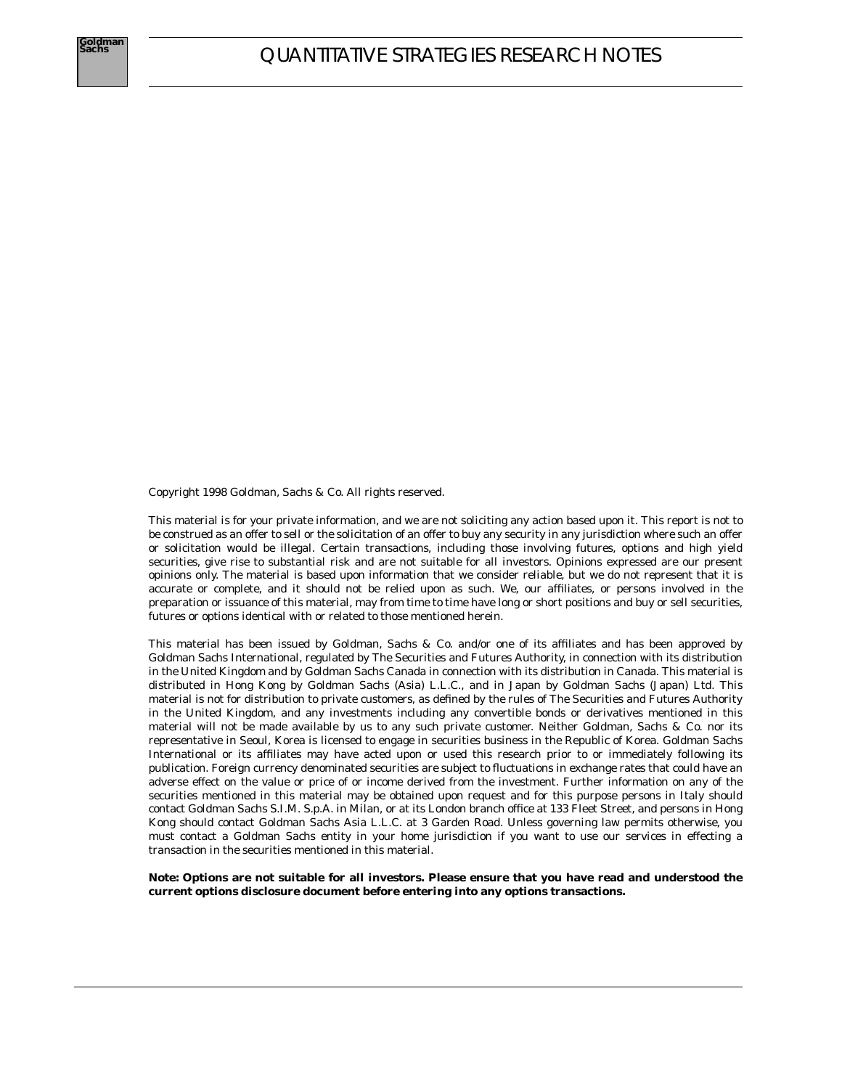Copyright 1998 Goldman, Sachs & Co. All rights reserved.

This material is for your private information, and we are not soliciting any action based upon it. This report is not to be construed as an offer to sell or the solicitation of an offer to buy any security in any jurisdiction where such an offer or solicitation would be illegal. Certain transactions, including those involving futures, options and high yield securities, give rise to substantial risk and are not suitable for all investors. Opinions expressed are our present opinions only. The material is based upon information that we consider reliable, but we do not represent that it is accurate or complete, and it should not be relied upon as such. We, our affiliates, or persons involved in the preparation or issuance of this material, may from time to time have long or short positions and buy or sell securities, futures or options identical with or related to those mentioned herein.

This material has been issued by Goldman, Sachs & Co. and/or one of its affiliates and has been approved by Goldman Sachs International, regulated by The Securities and Futures Authority, in connection with its distribution in the United Kingdom and by Goldman Sachs Canada in connection with its distribution in Canada. This material is distributed in Hong Kong by Goldman Sachs (Asia) L.L.C., and in Japan by Goldman Sachs (Japan) Ltd. This material is not for distribution to private customers, as defined by the rules of The Securities and Futures Authority in the United Kingdom, and any investments including any convertible bonds or derivatives mentioned in this material will not be made available by us to any such private customer. Neither Goldman, Sachs & Co. nor its representative in Seoul, Korea is licensed to engage in securities business in the Republic of Korea. Goldman Sachs International or its affiliates may have acted upon or used this research prior to or immediately following its publication. Foreign currency denominated securities are subject to fluctuations in exchange rates that could have an adverse effect on the value or price of or income derived from the investment. Further information on any of the securities mentioned in this material may be obtained upon request and for this purpose persons in Italy should contact Goldman Sachs S.I.M. S.p.A. in Milan, or at its London branch office at 133 Fleet Street, and persons in Hong Kong should contact Goldman Sachs Asia L.L.C. at 3 Garden Road. Unless governing law permits otherwise, you must contact a Goldman Sachs entity in your home jurisdiction if you want to use our services in effecting a transaction in the securities mentioned in this material.

**Note: Options are not suitable for all investors. Please ensure that you have read and understood the current options disclosure document before entering into any options transactions.**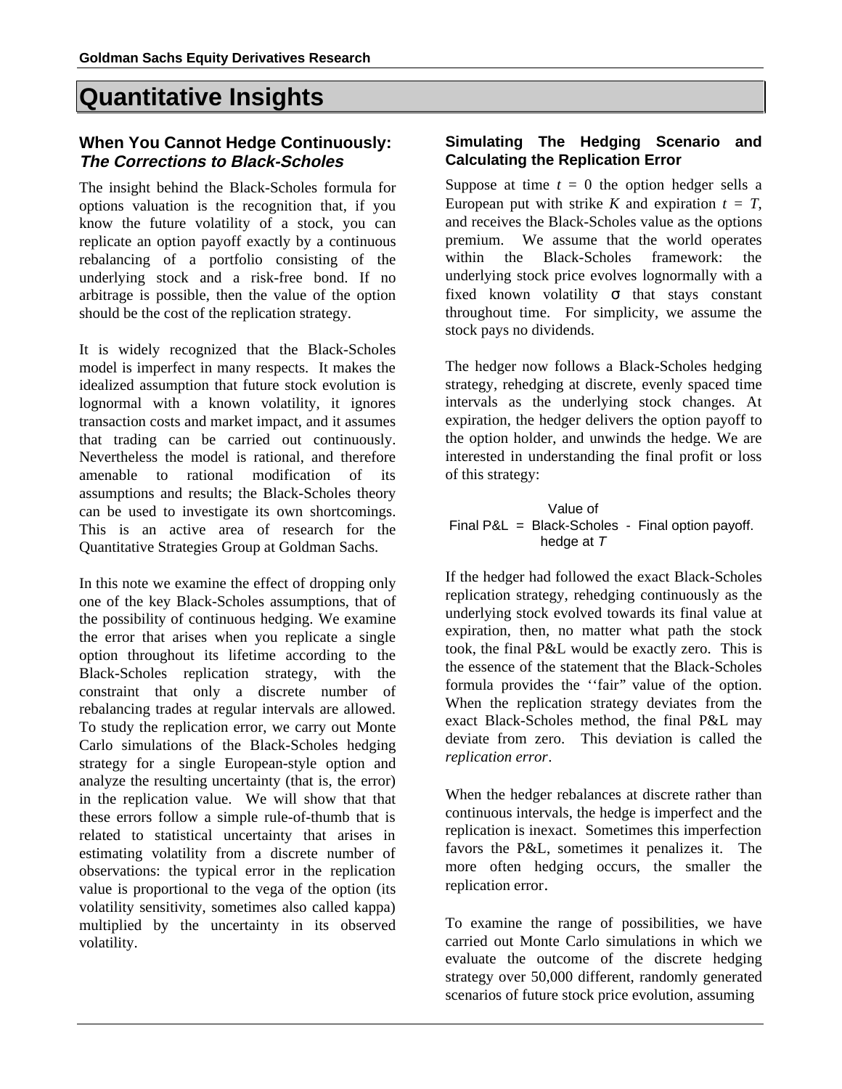# **Quantitative Insights**

# **When You Cannot Hedge Continuously: The Corrections to Black-Scholes**

The insight behind the Black-Scholes formula for options valuation is the recognition that, if you know the future volatility of a stock, you can replicate an option payoff exactly by a continuous rebalancing of a portfolio consisting of the underlying stock and a risk-free bond. If no arbitrage is possible, then the value of the option should be the cost of the replication strategy.

It is widely recognized that the Black-Scholes model is imperfect in many respects. It makes the idealized assumption that future stock evolution is lognormal with a known volatility, it ignores transaction costs and market impact, and it assumes that trading can be carried out continuously. Nevertheless the model is rational, and therefore amenable to rational modification of its assumptions and results; the Black-Scholes theory can be used to investigate its own shortcomings. This is an active area of research for the Quantitative Strategies Group at Goldman Sachs.

In this note we examine the effect of dropping only one of the key Black-Scholes assumptions, that of the possibility of continuous hedging. We examine the error that arises when you replicate a single option throughout its lifetime according to the Black-Scholes replication strategy, with the constraint that only a discrete number of rebalancing trades at regular intervals are allowed. To study the replication error, we carry out Monte Carlo simulations of the Black-Scholes hedging strategy for a single European-style option and analyze the resulting uncertainty (that is, the error) in the replication value. We will show that that these errors follow a simple rule-of-thumb that is related to statistical uncertainty that arises in estimating volatility from a discrete number of observations: the typical error in the replication value is proportional to the vega of the option (its volatility sensitivity, sometimes also called kappa) multiplied by the uncertainty in its observed volatility.

### **Simulating The Hedging Scenario and Calculating the Replication Error**

Suppose at time  $t = 0$  the option hedger sells a European put with strike *K* and expiration  $t = T$ , and receives the Black-Scholes value as the options premium. We assume that the world operates within the Black-Scholes framework: the underlying stock price evolves lognormally with a fixed known volatility  $\sigma$  that stays constant throughout time. For simplicity, we assume the stock pays no dividends.

The hedger now follows a Black-Scholes hedging strategy, rehedging at discrete, evenly spaced time intervals as the underlying stock changes. At expiration, the hedger delivers the option payoff to the option holder, and unwinds the hedge. We are interested in understanding the final profit or loss of this strategy:

 Value of Final P&L = Black-Scholes - Final option payoff. hedge at T

If the hedger had followed the exact Black-Scholes replication strategy, rehedging continuously as the underlying stock evolved towards its final value at expiration, then, no matter what path the stock took, the final P&L would be exactly zero. This is the essence of the statement that the Black-Scholes formula provides the ''fair'' value of the option. When the replication strategy deviates from the exact Black-Scholes method, the final P&L may deviate from zero. This deviation is called the *replication error*.

When the hedger rebalances at discrete rather than continuous intervals, the hedge is imperfect and the replication is inexact. Sometimes this imperfection favors the P&L, sometimes it penalizes it. The more often hedging occurs, the smaller the replication error.

To examine the range of possibilities, we have carried out Monte Carlo simulations in which we evaluate the outcome of the discrete hedging strategy over 50,000 different, randomly generated scenarios of future stock price evolution, assuming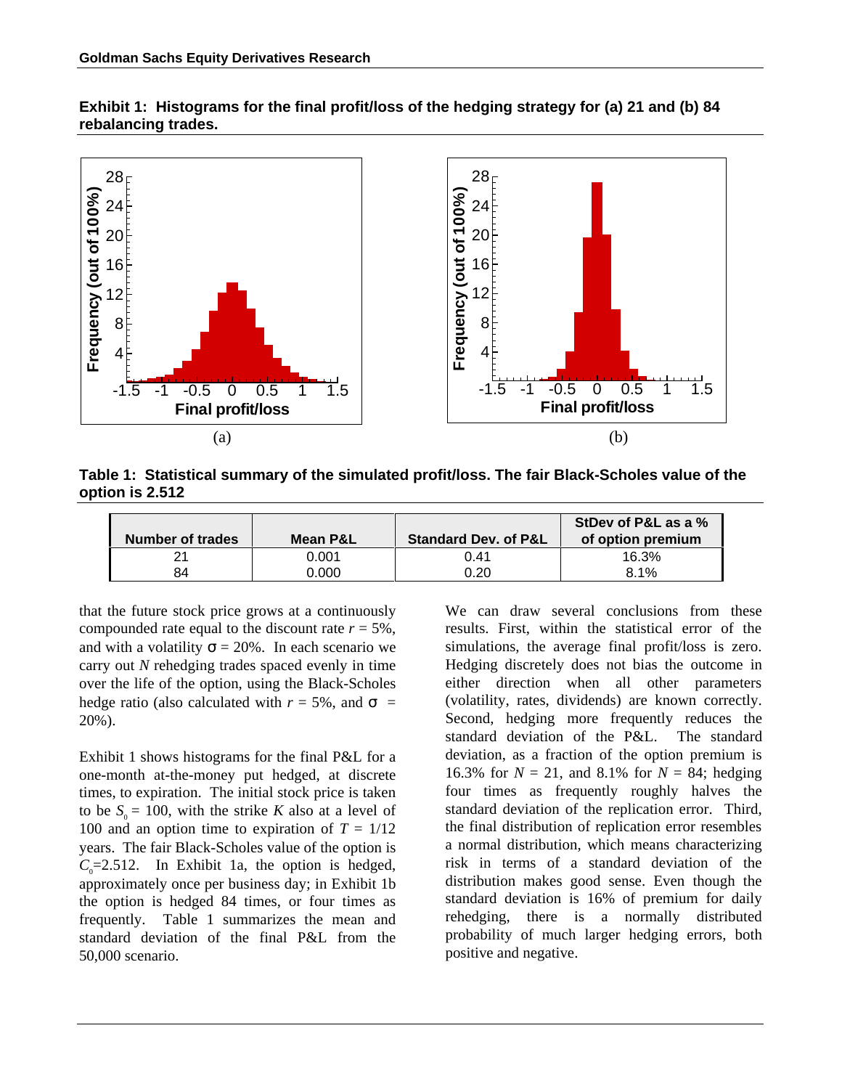**Exhibit 1: Histograms for the final profit/loss of the hedging strategy for (a) 21 and (b) 84 rebalancing trades.**



**Table 1: Statistical summary of the simulated profit/loss. The fair Black-Scholes value of the option is 2.512**

| Number of trades | Mean P&L | <b>Standard Dev. of P&amp;L</b> | StDev of P&L as a %<br>of option premium |
|------------------|----------|---------------------------------|------------------------------------------|
| 21               | 0.001    | 0.41                            | 16.3%                                    |
| 84               | 0.000    | 0.20                            | 8.1%                                     |

that the future stock price grows at a continuously compounded rate equal to the discount rate  $r = 5\%$ , and with a volatility  $\sigma = 20\%$ . In each scenario we carry out *N* rehedging trades spaced evenly in time over the life of the option, using the Black-Scholes hedge ratio (also calculated with  $r = 5\%$ , and  $\sigma =$ 20%).

Exhibit 1 shows histograms for the final P&L for a one-month at-the-money put hedged, at discrete times, to expiration. The initial stock price is taken to be  $S_0 = 100$ , with the strike *K* also at a level of 100 and an option time to expiration of  $T = 1/12$ years. The fair Black-Scholes value of the option is  $C_0$ =2.512. In Exhibit 1a, the option is hedged, approximately once per business day; in Exhibit 1b the option is hedged 84 times, or four times as frequently. Table 1 summarizes the mean and standard deviation of the final P&L from the 50,000 scenario.

We can draw several conclusions from these results. First, within the statistical error of the simulations, the average final profit/loss is zero. Hedging discretely does not bias the outcome in either direction when all other parameters (volatility, rates, dividends) are known correctly. Second, hedging more frequently reduces the standard deviation of the P&L. The standard deviation, as a fraction of the option premium is 16.3% for  $N = 21$ , and 8.1% for  $N = 84$ ; hedging four times as frequently roughly halves the standard deviation of the replication error. Third, the final distribution of replication error resembles a normal distribution, which means characterizing risk in terms of a standard deviation of the distribution makes good sense. Even though the standard deviation is 16% of premium for daily rehedging, there is a normally distributed probability of much larger hedging errors, both positive and negative.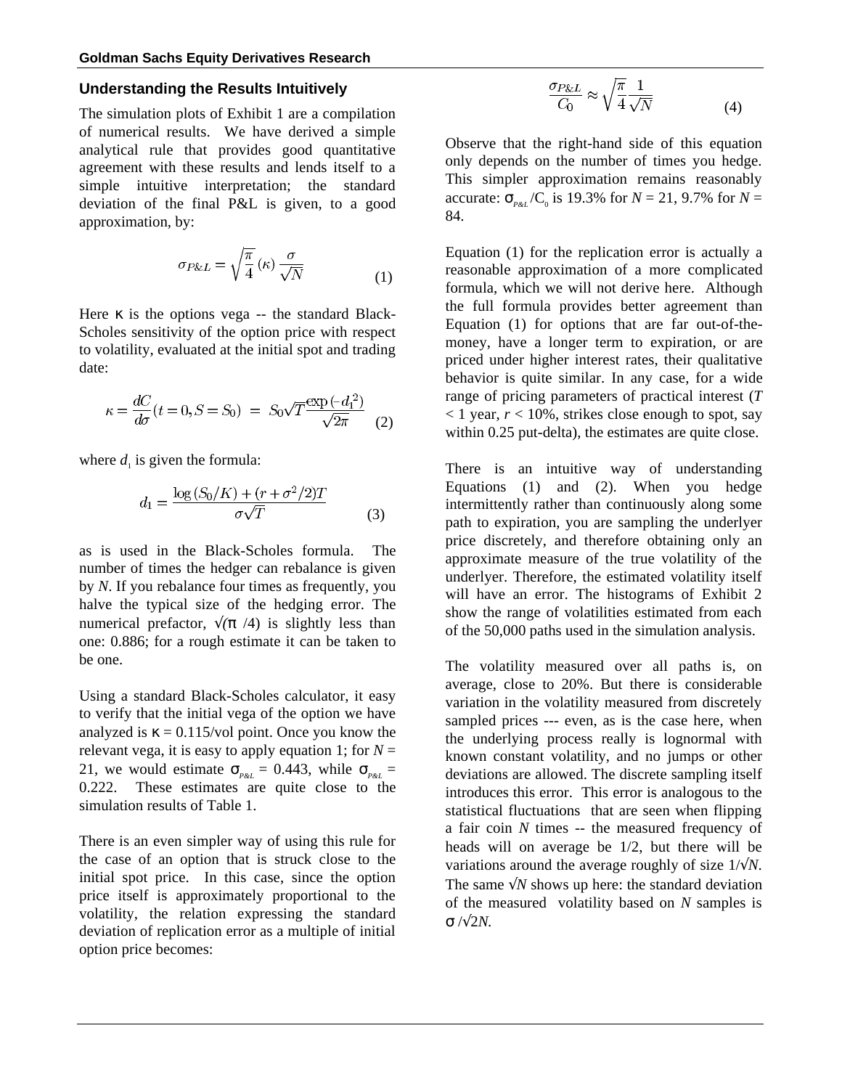#### **Understanding the Results Intuitively**

The simulation plots of Exhibit 1 are a compilation of numerical results. We have derived a simple analytical rule that provides good quantitative agreement with these results and lends itself to a simple intuitive interpretation; the standard deviation of the final P&L is given, to a good approximation, by:

$$
\sigma_{P\&L} = \sqrt{\frac{\pi}{4}} \left( \kappa \right) \frac{\sigma}{\sqrt{N}} \tag{1}
$$

Here  $\kappa$  is the options vega -- the standard Black-Scholes sensitivity of the option price with respect to volatility, evaluated at the initial spot and trading date:

$$
\kappa = \frac{dC}{d\sigma}(t = 0, S = S_0) = S_0 \sqrt{T} \frac{\exp(-d_1^2)}{\sqrt{2\pi}} \tag{2}
$$

where  $d_1$  is given the formula:

$$
d_1 = \frac{\log (S_0/K) + (r + \sigma^2/2)T}{\sigma\sqrt{T}}
$$
 (3)

as is used in the Black-Scholes formula. The number of times the hedger can rebalance is given by *N*. If you rebalance four times as frequently, you halve the typical size of the hedging error. The numerical prefactor,  $\sqrt{\pi}/4$  is slightly less than one: 0.886; for a rough estimate it can be taken to be one.

Using a standard Black-Scholes calculator, it easy to verify that the initial vega of the option we have analyzed is  $\kappa = 0.115/\text{vol}$  point. Once you know the relevant vega, it is easy to apply equation 1; for  $N =$ 21, we would estimate  $\sigma_{\text{P\&L}} = 0.443$ , while  $\sigma_{\text{P\&L}} =$ 0.222. These estimates are quite close to the simulation results of Table 1.

There is an even simpler way of using this rule for the case of an option that is struck close to the initial spot price. In this case, since the option price itself is approximately proportional to the volatility, the relation expressing the standard deviation of replication error as a multiple of initial option price becomes:

$$
\frac{\sigma_{P\&L}}{C_0} \approx \sqrt{\frac{\pi}{4}} \frac{1}{\sqrt{N}} \tag{4}
$$

Observe that the right-hand side of this equation only depends on the number of times you hedge. This simpler approximation remains reasonably accurate:  $\sigma_{\text{PAL}}/C_0$  is 19.3% for  $N = 21, 9.7\%$  for  $N =$ 84.

Equation (1) for the replication error is actually a reasonable approximation of a more complicated formula, which we will not derive here. Although the full formula provides better agreement than Equation (1) for options that are far out-of-themoney, have a longer term to expiration, or are priced under higher interest rates, their qualitative behavior is quite similar. In any case, for a wide range of pricing parameters of practical interest (*T*  $<$  1 year,  $r$  < 10%, strikes close enough to spot, say within 0.25 put-delta), the estimates are quite close.

There is an intuitive way of understanding Equations (1) and (2). When you hedge intermittently rather than continuously along some path to expiration, you are sampling the underlyer price discretely, and therefore obtaining only an approximate measure of the true volatility of the underlyer. Therefore, the estimated volatility itself will have an error. The histograms of Exhibit 2 show the range of volatilities estimated from each of the 50,000 paths used in the simulation analysis.

The volatility measured over all paths is, on average, close to 20%. But there is considerable variation in the volatility measured from discretely sampled prices --- even, as is the case here, when the underlying process really is lognormal with known constant volatility, and no jumps or other deviations are allowed. The discrete sampling itself introduces this error. This error is analogous to the statistical fluctuations that are seen when flipping a fair coin *N* times -- the measured frequency of heads will on average be 1/2, but there will be variations around the average roughly of size 1/√*N*. The same  $\sqrt{N}$  shows up here: the standard deviation of the measured volatility based on *N* samples is σ /√2*N.*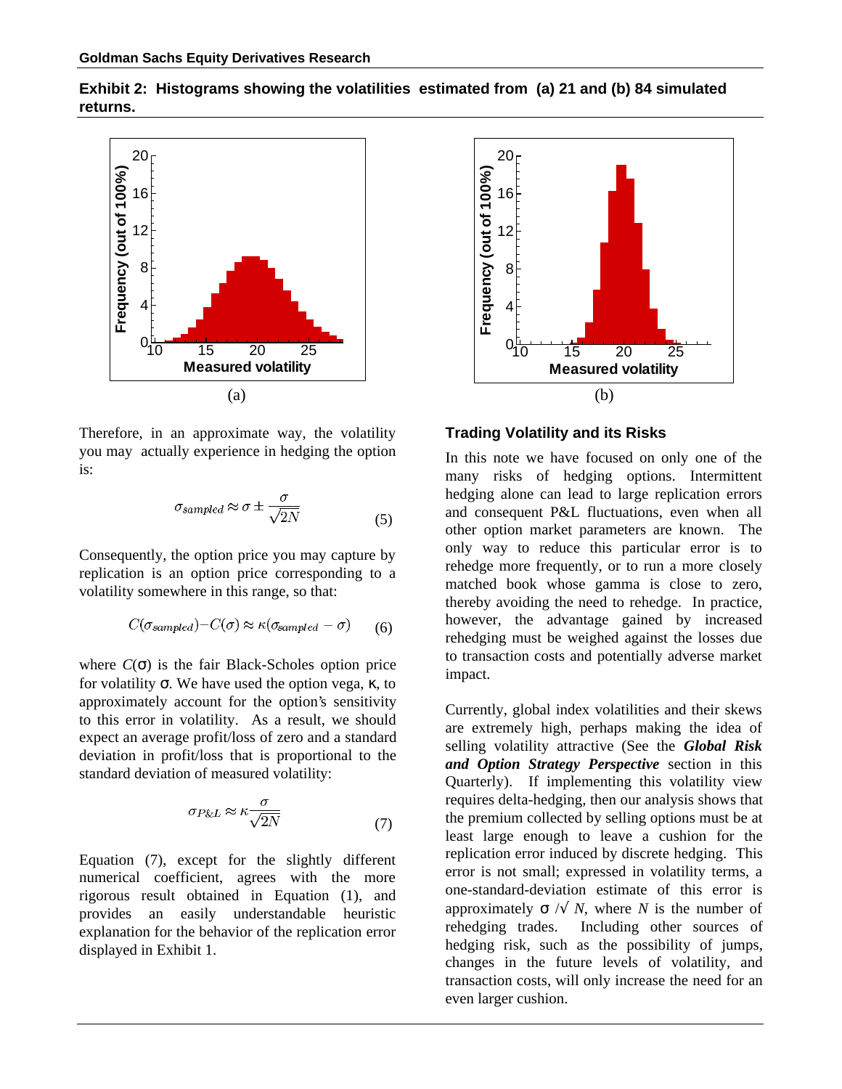

**Exhibit 2: Histograms showing the volatilities estimated from (a) 21 and (b) 84 simulated returns.**

Therefore, in an approximate way, the volatility you may actually experience in hedging the option is:

$$
\sigma_{sampled} \approx \sigma \pm \frac{\sigma}{\sqrt{2N}}\tag{5}
$$

Consequently, the option price you may capture by replication is an option price corresponding to a volatility somewhere in this range, so that:

$$
C(\sigma_{sampled}) - C(\sigma) \approx \kappa(\sigma_{sampled} - \sigma) \tag{6}
$$

where  $C(\sigma)$  is the fair Black-Scholes option price for volatility σ. We have used the option vega, κ, to approximately account for the option's sensitivity to this error in volatility. As a result, we should expect an average profit/loss of zero and a standard deviation in profit/loss that is proportional to the standard deviation of measured volatility:

$$
\sigma_{P\&L} \approx \kappa \frac{\sigma}{\sqrt{2N}}\tag{7}
$$

Equation (7), except for the slightly different numerical coefficient, agrees with the more rigorous result obtained in Equation (1), and provides an easily understandable heuristic explanation for the behavior of the replication error displayed in Exhibit 1.



**Trading Volatility and its Risks**

In this note we have focused on only one of the many risks of hedging options. Intermittent hedging alone can lead to large replication errors and consequent P&L fluctuations, even when all other option market parameters are known. The only way to reduce this particular error is to rehedge more frequently, or to run a more closely matched book whose gamma is close to zero, thereby avoiding the need to rehedge. In practice, however, the advantage gained by increased rehedging must be weighed against the losses due to transaction costs and potentially adverse market impact.

Currently, global index volatilities and their skews are extremely high, perhaps making the idea of selling volatility attractive (See the *Global Risk and Option Strategy Perspective* section in this Quarterly). If implementing this volatility view requires delta-hedging, then our analysis shows that the premium collected by selling options must be at least large enough to leave a cushion for the replication error induced by discrete hedging. This error is not small; expressed in volatility terms, a one-standard-deviation estimate of this error is approximately  $\sigma$  / $\sqrt{N}$ , where *N* is the number of rehedging trades. Including other sources of hedging risk, such as the possibility of jumps, changes in the future levels of volatility, and transaction costs, will only increase the need for an even larger cushion.